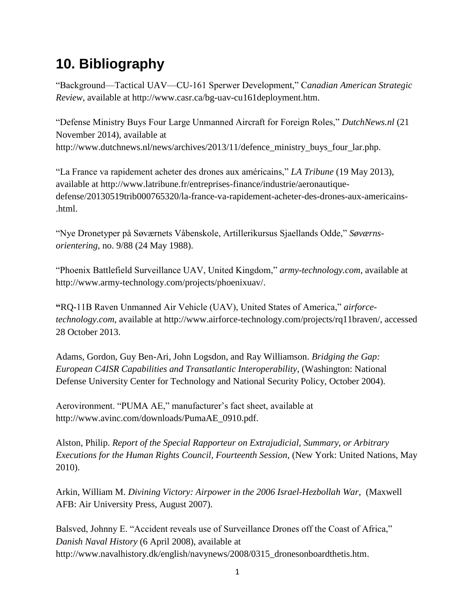## **10. Bibliography**

"Background—Tactical UAV—CU-161 Sperwer Development," C*anadian American Strategic Review*, available at http://www.casr.ca/bg-uav-cu161deployment.htm.

"Defense Ministry Buys Four Large Unmanned Aircraft for Foreign Roles," *DutchNews.nl* (21 November 2014), available at [http://www.dutchnews.nl/news/archives/2013/11/defence\\_ministry\\_buys\\_four\\_lar.php.](http://www.dutchnews.nl/news/archives/2013/11/defence_ministry_buys_four_lar.php)

"La France va rapidement acheter des drones aux américains," *LA Tribune* (19 May 2013), available at [http://www.latribune.fr/entreprises-finance/industrie/aeronautique](http://www.latribune.fr/entreprises-finance/industrie/aeronautique-defense/20130519trib000765320/la-france-va-rapidement-acheter-des-drones-aux-americains-.html)[defense/20130519trib000765320/la-france-va-rapidement-acheter-des-drones-aux-americains-](http://www.latribune.fr/entreprises-finance/industrie/aeronautique-defense/20130519trib000765320/la-france-va-rapidement-acheter-des-drones-aux-americains-.html) [.html.](http://www.latribune.fr/entreprises-finance/industrie/aeronautique-defense/20130519trib000765320/la-france-va-rapidement-acheter-des-drones-aux-americains-.html)

"Nye Dronetyper på Søværnets Våbenskole, Artillerikursus Sjaellands Odde," *Søværnsorientering*, no. 9/88 (24 May 1988).

"Phoenix Battlefield Surveillance UAV, United Kingdom," *army-technology.com*, available at [http://www.army-technology.com/projects/phoenixuav/.](http://www.army-technology.com/projects/phoenixuav/)

**"**RQ-11B Raven Unmanned Air Vehicle (UAV), United States of America," *airforcetechnology.com*, available at http://www.airforce-technology.com/projects/rq11braven/, accessed 28 October 2013.

Adams, Gordon, Guy Ben-Ari, John Logsdon, and Ray Williamson. *Bridging the Gap: European C4ISR Capabilities and Transatlantic Interoperability*, (Washington: National Defense University Center for Technology and National Security Policy, October 2004).

Aerovironment. "PUMA AE," manufacturer's fact sheet, available at [http://www.avinc.com/downloads/PumaAE\\_0910.pdf.](http://www.avinc.com/downloads/pumaae_0910.pdf)

Alston, Philip. *Report of the Special Rapporteur on Extrajudicial, Summary, or Arbitrary Executions for the Human Rights Council, Fourteenth Session*, (New York: United Nations, May 2010).

Arkin, William M. *Divining Victory: Airpower in the 2006 Israel-Hezbollah War*, (Maxwell AFB: Air University Press, August 2007).

Balsved, Johnny E. "Accident reveals use of Surveillance Drones off the Coast of Africa," *Danish Naval History* (6 April 2008), available at [http://www.navalhistory.dk/english/navynews/2008/0315\\_dronesonboardthetis.htm.](http://www.navalhistory.dk/english/navynews/2008/0315_dronesonboardthetis.htm)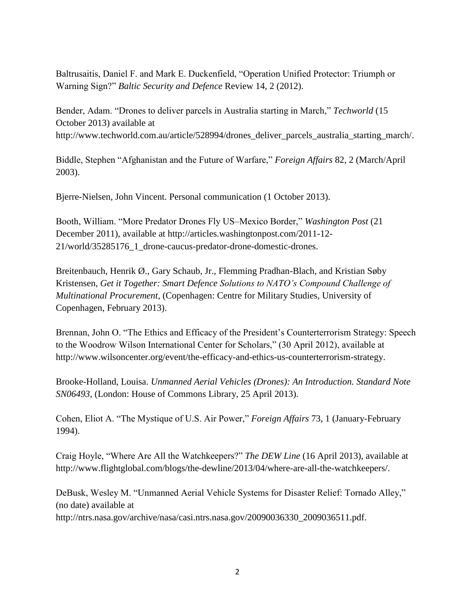Baltrusaitis, Daniel F. and Mark E. Duckenfield, "Operation Unified Protector: Triumph or Warning Sign?" *Baltic Security and Defence* Review 14, 2 (2012).

Bender, Adam. "Drones to deliver parcels in Australia starting in March," *Techworld* (15 October 2013) available at [http://www.techworld.com.au/article/528994/drones\\_deliver\\_parcels\\_australia\\_starting\\_march/.](http://www.techworld.com.au/article/528994/drones_deliver_parcels_australia_starting_march/)

Biddle, Stephen "Afghanistan and the Future of Warfare," *Foreign Affairs* 82, 2 (March/April 2003).

Bjerre-Nielsen, John Vincent. Personal communication (1 October 2013).

Booth, William. "More Predator Drones Fly US–Mexico Border," *Washington Post* (21 December 2011), available at [http://articles.washingtonpost.com/2011-12-](http://articles.washingtonpost.com/2011-12-21/world/35285176_1_drone-caucus-predator-drone-domestic-drones) [21/world/35285176\\_1\\_drone-caucus-predator-drone-domestic-drones.](http://articles.washingtonpost.com/2011-12-21/world/35285176_1_drone-caucus-predator-drone-domestic-drones)

Breitenbauch, Henrik Ø., Gary Schaub, Jr., Flemming Pradhan-Blach, and Kristian Søby Kristensen, *Get it Together: Smart Defence Solutions to NATO's Compound Challenge of Multinational Procurement*, (Copenhagen: Centre for Military Studies, University of Copenhagen, February 2013).

Brennan, John O. "The Ethics and Efficacy of the President's Counterterrorism Strategy: Speech to the Woodrow Wilson International Center for Scholars," (30 April 2012), available at [http://www.wilsoncenter.org/event/the-efficacy-and-ethics-us-counterterrorism-strategy.](http://www.wilsoncenter.org/event/the-efficacy-and-ethics-us-counterterrorism-strategy)

Brooke-Holland, Louisa. *Unmanned Aerial Vehicles (Drones): An Introduction. Standard Note SN06493*, (London: House of Commons Library, 25 April 2013).

Cohen, Eliot A. "The Mystique of U.S. Air Power," *Foreign Affairs* 73, 1 (January-February 1994).

Craig Hoyle, "Where Are All the Watchkeepers?" *The DEW Line* (16 April 2013), available at [http://www.flightglobal.com/blogs/the-dewline/2013/04/where-are-all-the-watchkeepers/.](http://www.flightglobal.com/blogs/the-dewline/2013/04/where-are-all-the-watchkeepers/)

DeBusk, Wesley M. "Unmanned Aerial Vehicle Systems for Disaster Relief: Tornado Alley," (no date) available at

[http://ntrs.nasa.gov/archive/nasa/casi.ntrs.nasa.gov/20090036330\\_2009036511.pdf.](http://ntrs.nasa.gov/archive/nasa/casi.ntrs.nasa.gov/20090036330_2009036511.pdf)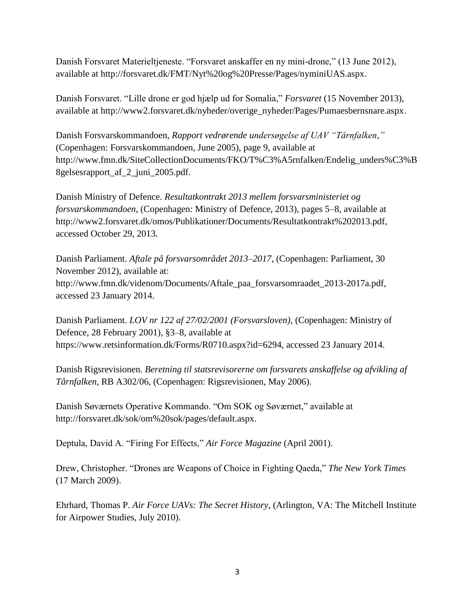Danish Forsvaret Materieltjeneste. "Forsvaret anskaffer en ny mini-drone," (13 June 2012), available at [http://forsvaret.dk/FMT/Nyt%20og%20Presse/Pages/nyminiUAS.aspx.](http://forsvaret.dk/fmt/nyt%2520og%2520presse/pages/nyminiuas.aspx)

Danish Forsvaret. "Lille drone er god hjælp ud for Somalia," *Forsvaret* (15 November 2013), available at [http://www2.forsvaret.dk/nyheder/overige\\_nyheder/Pages/Pumaesbernsnare.aspx.](http://www2.forsvaret.dk/nyheder/overige_nyheder/Pages/Pumaesbernsnare.aspx)

Danish Forsvarskommandoen, *Rapport vedrørende undersøgelse af UAV "Tårnfalken,"* (Copenhagen: Forsvarskommandoen, June 2005), page 9, available at [http://www.fmn.dk/SiteCollectionDocuments/FKO/T%C3%A5rnfalken/Endelig\\_unders%C3%B](http://www.fmn.dk/SiteCollectionDocuments/FKO/T%C3%A5rnfalken/Endelig_unders%C3%B8gelsesrapport_af_2_juni_2005.pdf) [8gelsesrapport\\_af\\_2\\_juni\\_2005.pdf.](http://www.fmn.dk/SiteCollectionDocuments/FKO/T%C3%A5rnfalken/Endelig_unders%C3%B8gelsesrapport_af_2_juni_2005.pdf)

Danish Ministry of Defence. *Resultatkontrakt 2013 mellem forsvarsministeriet og forsvarskommandoen*, (Copenhagen: Ministry of Defence, 2013), pages 5–8, available at [http://www2.forsvaret.dk/omos/Publikationer/Documents/Resultatkontrakt%202013.pdf,](http://www2.forsvaret.dk/omos/publikationer/documents/resultatkontrakt%25202013.pdf) accessed October 29, 2013.

Danish Parliament. *Aftale på forsvarsområdet 2013–2017*, (Copenhagen: Parliament, 30 November 2012), available at: [http://www.fmn.dk/videnom/Documents/Aftale\\_paa\\_forsvarsomraadet\\_2013-2017a.pdf,](http://www.fmn.dk/videnom/documents/aftale_paa_forsvarsomraadet_2013-2017a.pdf) accessed 23 January 2014.

Danish Parliament. *LOV nr 122 af 27/02/2001 (Forsvarsloven)*, (Copenhagen: Ministry of Defence, 28 February 2001), §3–8, available at [https://www.retsinformation.dk/Forms/R0710.aspx?id=6294,](https://www.retsinformation.dk/forms/r0710.aspx?id=6294) accessed 23 January 2014.

Danish Rigsrevisionen. *Beretning til statsrevisorerne om forsvarets anskaffelse og afvikling af Tårnfalken*, RB A302/06, (Copenhagen: Rigsrevisionen, May 2006).

Danish Søværnets Operative Kommando. "Om SOK og Søværnet," available at [http://forsvaret.dk/sok/om%20sok/pages/default.aspx.](http://forsvaret.dk/sok/om%20sok/pages/default.aspx)

Deptula, David A. "Firing For Effects," *Air Force Magazine* (April 2001).

Drew, Christopher. "Drones are Weapons of Choice in Fighting Qaeda," *The New York Times* (17 March 2009).

Ehrhard, Thomas P. *Air Force UAVs: The Secret History*, (Arlington, VA: The Mitchell Institute for Airpower Studies, July 2010).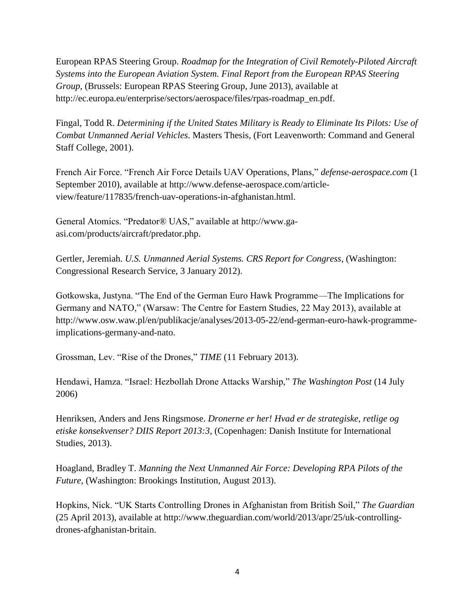European RPAS Steering Group. *Roadmap for the Integration of Civil Remotely-Piloted Aircraft Systems into the European Aviation System. Final Report from the European RPAS Steering Group*, (Brussels: European RPAS Steering Group, June 2013), available at [http://ec.europa.eu/enterprise/sectors/aerospace/files/rpas-roadmap\\_en.pdf.](http://ec.europa.eu/enterprise/sectors/aerospace/files/rpas-roadmap_en.pdf)

Fingal, Todd R. *Determining if the United States Military is Ready to Eliminate Its Pilots: Use of Combat Unmanned Aerial Vehicles*. Masters Thesis, (Fort Leavenworth: Command and General Staff College, 2001).

French Air Force. "French Air Force Details UAV Operations, Plans," *defense-aerospace.com* (1 September 2010), available at [http://www.defense-aerospace.com/article](http://www.defense-aerospace.com/article-view/feature/117835/french-uav-operations-in-afghanistan.html)[view/feature/117835/french-uav-operations-in-afghanistan.html.](http://www.defense-aerospace.com/article-view/feature/117835/french-uav-operations-in-afghanistan.html)

General Atomics. "Predator® UAS," available at [http://www.ga](http://www.ga-asi.com/products/aircraft/predator.php)[asi.com/products/aircraft/predator.php.](http://www.ga-asi.com/products/aircraft/predator.php)

Gertler, Jeremiah. *U.S. Unmanned Aerial Systems. CRS Report for Congress*, (Washington: Congressional Research Service, 3 January 2012).

Gotkowska, Justyna. "The End of the German Euro Hawk Programme—The Implications for Germany and NATO," (Warsaw: The Centre for Eastern Studies, 22 May 2013), available at [http://www.osw.waw.pl/en/publikacje/analyses/2013-05-22/end-german-euro-hawk-programme](http://www.osw.waw.pl/en/publikacje/analyses/2013-05-22/end-german-euro-hawk-programme-implications-germany-and-nato)[implications-germany-and-nato.](http://www.osw.waw.pl/en/publikacje/analyses/2013-05-22/end-german-euro-hawk-programme-implications-germany-and-nato)

Grossman, Lev. "Rise of the Drones," *TIME* (11 February 2013).

Hendawi, Hamza. "Israel: Hezbollah Drone Attacks Warship," *The Washington Post* (14 July 2006)

Henriksen, Anders and Jens Ringsmose. *Dronerne er her! Hvad er de strategiske, retlige og etiske konsekvenser? DIIS Report 2013:3*, (Copenhagen: Danish Institute for International Studies, 2013).

Hoagland, Bradley T. *Manning the Next Unmanned Air Force: Developing RPA Pilots of the Future*, (Washington: Brookings Institution, August 2013).

Hopkins, Nick. "UK Starts Controlling Drones in Afghanistan from British Soil," *The Guardian* (25 April 2013), available at http://www.theguardian.com/world/2013/apr/25/uk-controllingdrones-afghanistan-britain.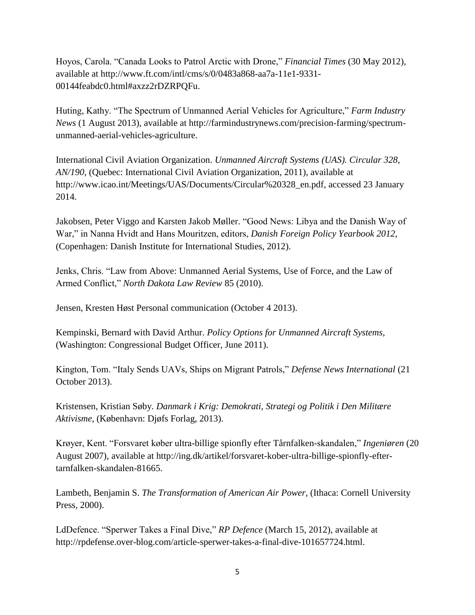Hoyos, Carola. "Canada Looks to Patrol Arctic with Drone," *Financial Times* (30 May 2012), available at [http://www.ft.com/intl/cms/s/0/0483a868-aa7a-11e1-9331-](http://www.ft.com/intl/cms/s/0/0483a868-aa7a-11e1-9331-00144feabdc0.html#axzz2rDZRPQFu) [00144feabdc0.html#axzz2rDZRPQFu.](http://www.ft.com/intl/cms/s/0/0483a868-aa7a-11e1-9331-00144feabdc0.html#axzz2rDZRPQFu)

Huting, Kathy. "The Spectrum of Unmanned Aerial Vehicles for Agriculture," *Farm Industry News* (1 August 2013), available at [http://farmindustrynews.com/precision-farming/spectrum](http://farmindustrynews.com/precision-farming/spectrum-unmanned-aerial-vehicles-agriculture)[unmanned-aerial-vehicles-agriculture.](http://farmindustrynews.com/precision-farming/spectrum-unmanned-aerial-vehicles-agriculture)

International Civil Aviation Organization. *Unmanned Aircraft Systems (UAS). Circular 328, AN/190*, (Quebec: International Civil Aviation Organization, 2011), available at [http://www.icao.int/Meetings/UAS/Documents/Circular%20328\\_en.pdf,](http://www.icao.int/meetings/uas/documents/circular%2520328_en.pdf) accessed 23 January 2014.

Jakobsen, Peter Viggo and Karsten Jakob Møller. "Good News: Libya and the Danish Way of War," in Nanna Hvidt and Hans Mouritzen, editors, *Danish Foreign Policy Yearbook 2012*, (Copenhagen: Danish Institute for International Studies, 2012).

Jenks, Chris. "Law from Above: Unmanned Aerial Systems, Use of Force, and the Law of Armed Conflict," *North Dakota Law Review* 85 (2010).

Jensen, Kresten Høst Personal communication (October 4 2013).

Kempinski, Bernard with David Arthur. *Policy Options for Unmanned Aircraft Systems*, (Washington: Congressional Budget Officer, June 2011).

Kington, Tom. "Italy Sends UAVs, Ships on Migrant Patrols," *Defense News International* (21 October 2013).

Kristensen, Kristian Søby. *Danmark i Krig: Demokrati, Strategi og Politik i Den Militære Aktivisme*, (København: Djøfs Forlag, 2013).

Krøyer, Kent. "Forsvaret køber ultra-billige spionfly efter Tårnfalken-skandalen," *Ingeniøren* (20 August 2007), available at [http://ing.dk/artikel/forsvaret-kober-ultra-billige-spionfly-efter](http://ing.dk/artikel/forsvaret-kober-ultra-billige-spionfly-efter-tarnfalken-skandalen-81665)[tarnfalken-skandalen-81665.](http://ing.dk/artikel/forsvaret-kober-ultra-billige-spionfly-efter-tarnfalken-skandalen-81665)

Lambeth, Benjamin S. *The Transformation of American Air Power*, (Ithaca: Cornell University Press, 2000).

LdDefence. "Sperwer Takes a Final Dive," *RP Defence* (March 15, 2012), available at [http://rpdefense.over-blog.com/article-sperwer-takes-a-final-dive-101657724.html.](http://rpdefense.over-blog.com/article-sperwer-takes-a-final-dive-101657724.html)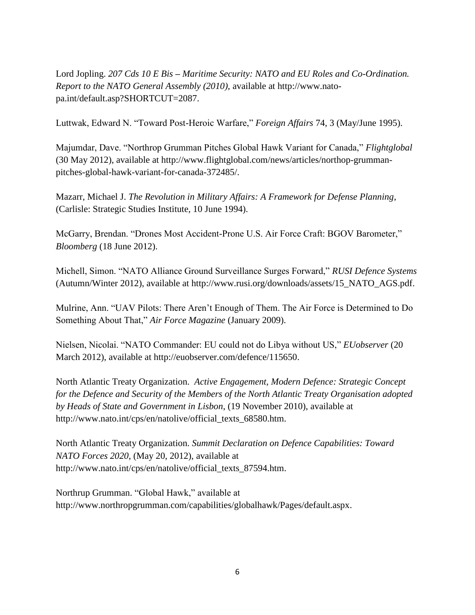Lord Jopling. *207 Cds 10 E Bis – Maritime Security: NATO and EU Roles and Co-Ordination. Report to the NATO General Assembly (2010)*, available at [http://www.nato](http://www.nato-pa.int/default.asp?shortcut=2087)[pa.int/default.asp?SHORTCUT=2087.](http://www.nato-pa.int/default.asp?shortcut=2087)

Luttwak, Edward N. "Toward Post-Heroic Warfare," *Foreign Affairs* 74, 3 (May/June 1995).

Majumdar, Dave. "Northrop Grumman Pitches Global Hawk Variant for Canada," *Flightglobal* (30 May 2012), available at [http://www.flightglobal.com/news/articles/northop-grumman](http://www.flightglobal.com/news/articles/northop-grumman-pitches-global-hawk-variant-for-canada-372485/)[pitches-global-hawk-variant-for-canada-372485/.](http://www.flightglobal.com/news/articles/northop-grumman-pitches-global-hawk-variant-for-canada-372485/)

Mazarr, Michael J. *The Revolution in Military Affairs: A Framework for Defense Planning*, (Carlisle: Strategic Studies Institute, 10 June 1994).

McGarry, Brendan. "Drones Most Accident-Prone U.S. Air Force Craft: BGOV Barometer," *Bloomberg* (18 June 2012).

Michell, Simon. "NATO Alliance Ground Surveillance Surges Forward," *RUSI Defence Systems* (Autumn/Winter 2012), available at [http://www.rusi.org/downloads/assets/15\\_NATO\\_AGS.pdf.](http://www.rusi.org/downloads/assets/15_nato_ags.pdf)

Mulrine, Ann. "UAV Pilots: There Aren't Enough of Them. The Air Force is Determined to Do Something About That," *Air Force Magazine* (January 2009).

Nielsen, Nicolai. "NATO Commander: EU could not do Libya without US," *EUobserver* (20 March 2012), available at [http://euobserver.com/defence/115650.](http://euobserver.com/defence/115650)

North Atlantic Treaty Organization. *Active Engagement, Modern Defence: Strategic Concept for the Defence and Security of the Members of the North Atlantic Treaty Organisation adopted by Heads of State and Government in Lisbon*, (19 November 2010), available at http://www.nato.int/cps/en/natolive/official\_texts\_68580.htm.

North Atlantic Treaty Organization. *Summit Declaration on Defence Capabilities: Toward NATO Forces 2020*, (May 20, 2012), available at [http://www.nato.int/cps/en/natolive/official\\_texts\\_87594.htm.](http://www.nato.int/cps/en/natolive/official_texts_87594.htm)

Northrup Grumman. "Global Hawk," available at [http://www.northropgrumman.com/capabilities/globalhawk/Pages/default.aspx.](http://www.northropgrumman.com/capabilities/globalhawk/Pages/default.aspx)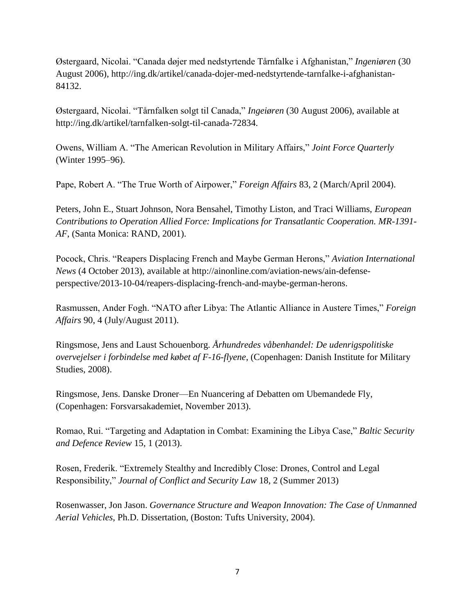Østergaard, Nicolai. "Canada døjer med nedstyrtende Tårnfalke i Afghanistan," *Ingeniøren* (30 August 2006), [http://ing.dk/artikel/canada-dojer-med-nedstyrtende-tarnfalke-i-afghanistan-](http://ing.dk/artikel/canada-dojer-med-nedstyrtende-tarnfalke-i-afghanistan-84132)[84132.](http://ing.dk/artikel/canada-dojer-med-nedstyrtende-tarnfalke-i-afghanistan-84132)

Østergaard, Nicolai. "Tårnfalken solgt til Canada," *Ingeiøren* (30 August 2006), available at [http://ing.dk/artikel/tarnfalken-solgt-til-canada-72834.](http://ing.dk/artikel/tarnfalken-solgt-til-canada-72834)

Owens, William A. "The American Revolution in Military Affairs," *Joint Force Quarterly* (Winter 1995–96).

Pape, Robert A. "The True Worth of Airpower," *Foreign Affairs* 83, 2 (March/April 2004).

Peters, John E., Stuart Johnson, Nora Bensahel, Timothy Liston, and Traci Williams, *European Contributions to Operation Allied Force: Implications for Transatlantic Cooperation. MR-1391- AF*, (Santa Monica: RAND, 2001).

Pocock, Chris. "Reapers Displacing French and Maybe German Herons," *Aviation International News* (4 October 2013), available at [http://ainonline.com/aviation-news/ain-defense](http://ainonline.com/aviation-news/ain-defense-perspective/2013-10-04/reapers-displacing-french-and-maybe-german-herons)[perspective/2013-10-04/reapers-displacing-french-and-maybe-german-herons.](http://ainonline.com/aviation-news/ain-defense-perspective/2013-10-04/reapers-displacing-french-and-maybe-german-herons)

Rasmussen, Ander Fogh. "NATO after Libya: The Atlantic Alliance in Austere Times," *Foreign Affairs* 90, 4 (July/August 2011).

Ringsmose, Jens and Laust Schouenborg. *Århundredes våbenhandel: De udenrigspolitiske overvejelser i forbindelse med købet af F-16-flyene*, (Copenhagen: Danish Institute for Military Studies, 2008).

Ringsmose, Jens. Danske Droner—En Nuancering af Debatten om Ubemandede Fly, (Copenhagen: Forsvarsakademiet, November 2013).

Romao, Rui. "Targeting and Adaptation in Combat: Examining the Libya Case," *Baltic Security and Defence Review* 15, 1 (2013).

Rosen, Frederik. "Extremely Stealthy and Incredibly Close: Drones, Control and Legal Responsibility," *Journal of Conflict and Security Law* 18, 2 (Summer 2013)

Rosenwasser, Jon Jason. *Governance Structure and Weapon Innovation: The Case of Unmanned Aerial Vehicles*, Ph.D. Dissertation, (Boston: Tufts University, 2004).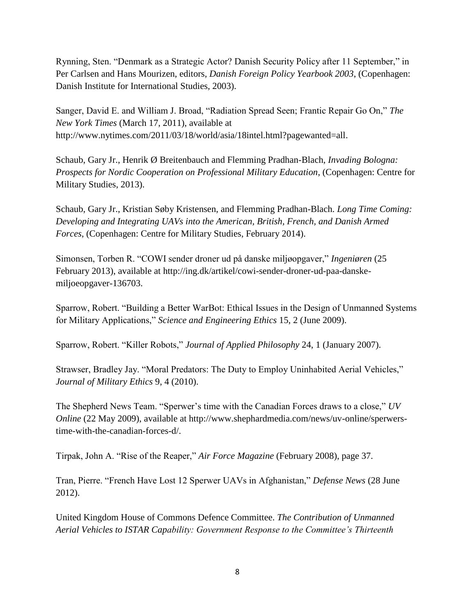Rynning, Sten. "Denmark as a Strategic Actor? Danish Security Policy after 11 September," in Per Carlsen and Hans Mourizen, editors, *Danish Foreign Policy Yearbook 2003*, (Copenhagen: Danish Institute for International Studies, 2003).

Sanger, David E. and William J. Broad, "Radiation Spread Seen; Frantic Repair Go On," *The New York Times* (March 17, 2011), available at [http://www.nytimes.com/2011/03/18/world/asia/18intel.html?pagewanted=all.](http://www.nytimes.com/2011/03/18/world/asia/18intel.html?pagewanted=all)

Schaub, Gary Jr., Henrik Ø Breitenbauch and Flemming Pradhan-Blach, *Invading Bologna: Prospects for Nordic Cooperation on Professional Military Education*, (Copenhagen: Centre for Military Studies, 2013).

Schaub, Gary Jr., Kristian Søby Kristensen, and Flemming Pradhan-Blach. *Long Time Coming: Developing and Integrating UAVs into the American, British, French, and Danish Armed Forces*, (Copenhagen: Centre for Military Studies, February 2014).

Simonsen, Torben R. "COWI sender droner ud på danske miljøopgaver," *Ingeniøren* (25 February 2013), available at [http://ing.dk/artikel/cowi-sender-droner-ud-paa-danske](http://ing.dk/artikel/cowi-sender-droner-ud-paa-danske-miljoeopgaver-136703)[miljoeopgaver-136703.](http://ing.dk/artikel/cowi-sender-droner-ud-paa-danske-miljoeopgaver-136703)

Sparrow, Robert. "Building a Better WarBot: Ethical Issues in the Design of Unmanned Systems for Military Applications," *Science and Engineering Ethics* 15, 2 (June 2009).

Sparrow, Robert. "Killer Robots," *Journal of Applied Philosophy* 24, 1 (January 2007).

Strawser, Bradley Jay. "Moral Predators: The Duty to Employ Uninhabited Aerial Vehicles," *Journal of Military Ethics* 9, 4 (2010).

The Shepherd News Team. "Sperwer's time with the Canadian Forces draws to a close," *UV Online* (22 May 2009), available at http://www.shephardmedia.com/news/uv-online/sperwerstime-with-the-canadian-forces-d/.

Tirpak, John A. "Rise of the Reaper," *Air Force Magazine* (February 2008), page 37.

Tran, Pierre. "French Have Lost 12 Sperwer UAVs in Afghanistan," *Defense News* (28 June 2012).

United Kingdom House of Commons Defence Committee. *The Contribution of Unmanned Aerial Vehicles to ISTAR Capability: Government Response to the Committee's Thirteenth*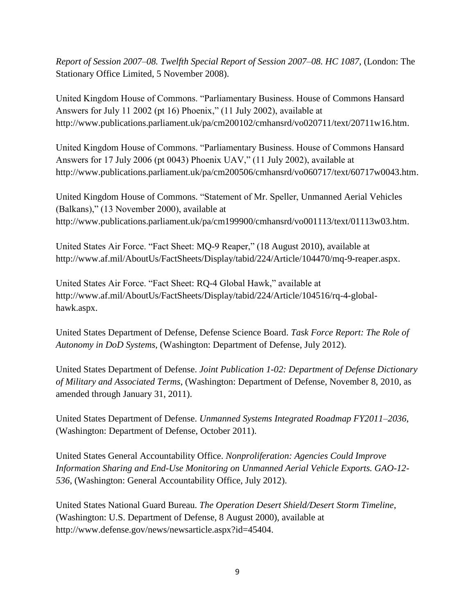*Report of Session 2007–08. Twelfth Special Report of Session 2007–08. HC 1087*, (London: The Stationary Office Limited, 5 November 2008).

United Kingdom House of Commons. "Parliamentary Business. House of Commons Hansard Answers for July 11 2002 (pt 16) Phoenix," (11 July 2002), available at [http://www.publications.parliament.uk/pa/cm200102/cmhansrd/vo020711/text/20711w16.htm.](http://www.publications.parliament.uk/pa/cm200102/cmhansrd/vo020711/text/20711w16.htm)

United Kingdom House of Commons. "Parliamentary Business. House of Commons Hansard Answers for 17 July 2006 (pt 0043) Phoenix UAV," (11 July 2002), available at [http://www.publications.parliament.uk/pa/cm200506/cmhansrd/vo060717/text/60717w0043.htm.](http://www.publications.parliament.uk/pa/cm200506/cmhansrd/vo060717/text/60717w0043.htm)

United Kingdom House of Commons. "Statement of Mr. Speller, Unmanned Aerial Vehicles (Balkans)," (13 November 2000), available at [http://www.publications.parliament.uk/pa/cm199900/cmhansrd/vo001113/text/01113w03.htm.](http://www.publications.parliament.uk/pa/cm199900/cmhansrd/vo001113/text/01113w03.htm)

United States Air Force. "Fact Sheet: MQ-9 Reaper," (18 August 2010), available at [http://www.af.mil/AboutUs/FactSheets/Display/tabid/224/Article/104470/mq-9-reaper.aspx.](http://www.af.mil/AboutUs/FactSheets/Display/tabid/224/Article/104470/mq-9-reaper.aspx)

United States Air Force. "Fact Sheet: RQ-4 Global Hawk," available at [http://www.af.mil/AboutUs/FactSheets/Display/tabid/224/Article/104516/rq-4-global](http://www.af.mil/AboutUs/FactSheets/Display/tabid/224/Article/104516/rq-4-global-hawk.aspx)[hawk.aspx.](http://www.af.mil/AboutUs/FactSheets/Display/tabid/224/Article/104516/rq-4-global-hawk.aspx)

United States Department of Defense, Defense Science Board. *Task Force Report: The Role of Autonomy in DoD Systems*, (Washington: Department of Defense, July 2012).

United States Department of Defense. *Joint Publication 1-02: Department of Defense Dictionary of Military and Associated Terms*, (Washington: Department of Defense, November 8, 2010, as amended through January 31, 2011).

United States Department of Defense. *Unmanned Systems Integrated Roadmap FY2011–2036*, (Washington: Department of Defense, October 2011).

United States General Accountability Office. *Nonproliferation: Agencies Could Improve Information Sharing and End-Use Monitoring on Unmanned Aerial Vehicle Exports. GAO-12- 536*, (Washington: General Accountability Office, July 2012).

United States National Guard Bureau. *The Operation Desert Shield/Desert Storm Timeline*, (Washington: U.S. Department of Defense, 8 August 2000), available at [http://www.defense.gov/news/newsarticle.aspx?id=45404.](http://www.defense.gov/news/newsarticle.aspx?id=45404)